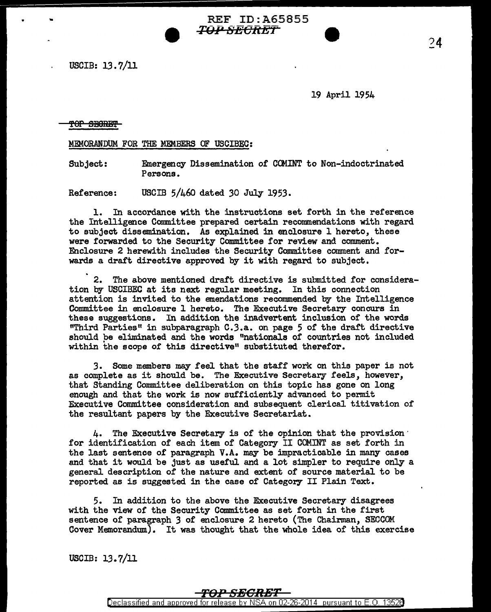USCIB: 13.7/11

19 April 1954

TOP SECRET

MEMORANDUM FOR THE MEMBERS OF USCIBEC:

Subject: Emergency Dissemination of CCMINT to Non-indoctrinated Persons.

REF ID:A65855

*T0-11 8EC11:E1* 

Reference: USCIB 5/460 dated 30 July 1953.

1. In accordance with the instructions set forth in the reference the Intelligence Committee prepared certain recommendations with regard to subject dissemination. As explained in enclosure 1 hereto, these were forwarded to the Security Committee for review and comment. Enclosure 2 herewith includes the Security Committee comment and forwards a draft directive approved by it with regard to subject.

2. The above mentioned draft directive is submitted for consideration by USCIBEC at its next regular meeting. In this connection attention is invited to the emendations recommended by the Intelligence Committee in enclosure 1 hereto. The Executive Secretary concurs in these suggestions. In addition the inadvertent inclusion of the words "Third Parties" in subparagraph C.3.a. on page 5 of the draft directive should be eliminated and the words "nationals of countries not included within the scope of this directive" substituted therefor.

*3.* Some members may feel that the staff work on this paper is not as complete as it should be. The Executive Secretary feels, however, that Standing Committee deliberation on this topic has gone on long enough and that the work is now sufficiently advanced to permit Executive Committee consideration and subsequent clerical titivation of the resultant papers by the Executive Secretariat.

4. The Executive Secretary is of the opinion that the provision· for identification of each item of Category II COMINT as set forth in the last sentence of paragraph V .A. may be impracticable in many cases and that it would be just as useful and a lot simpler to require only a general description of the nature and extent of source material to be reported as is suggested in the case of Category II Plain Text.

5. In addition to the above the Executive Secretary disagrees with the view of the Security Committee as set forth in the first sentence of paragraph 3 of enclosure 2 hereto (The Chairman, SECCOM Cover Memorandum). It was thought that the whole idea of this exercise

USCIB: 13. 7/11

## **'F9P SBGRET**

Declassified and approved for release by NSA on 02-26-2014 pursuant to E. 0. 1352B